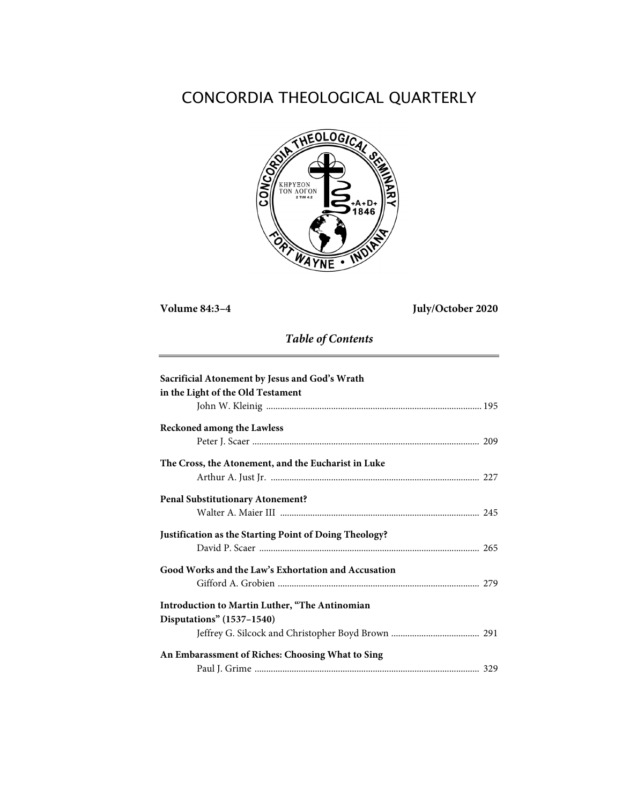# CONCORDIA THEOLOGICAL QUARTERLY



**Volume 84:3–4 July/October 2020**

*Table of Contents*

| Sacrificial Atonement by Jesus and God's Wrath         |  |
|--------------------------------------------------------|--|
| in the Light of the Old Testament                      |  |
|                                                        |  |
| <b>Reckoned among the Lawless</b>                      |  |
|                                                        |  |
| The Cross, the Atonement, and the Eucharist in Luke    |  |
|                                                        |  |
| <b>Penal Substitutionary Atonement?</b>                |  |
|                                                        |  |
| Justification as the Starting Point of Doing Theology? |  |
|                                                        |  |
| Good Works and the Law's Exhortation and Accusation    |  |
|                                                        |  |
| Introduction to Martin Luther, "The Antinomian         |  |
| Disputations" (1537-1540)                              |  |
|                                                        |  |
| An Embarassment of Riches: Choosing What to Sing       |  |
|                                                        |  |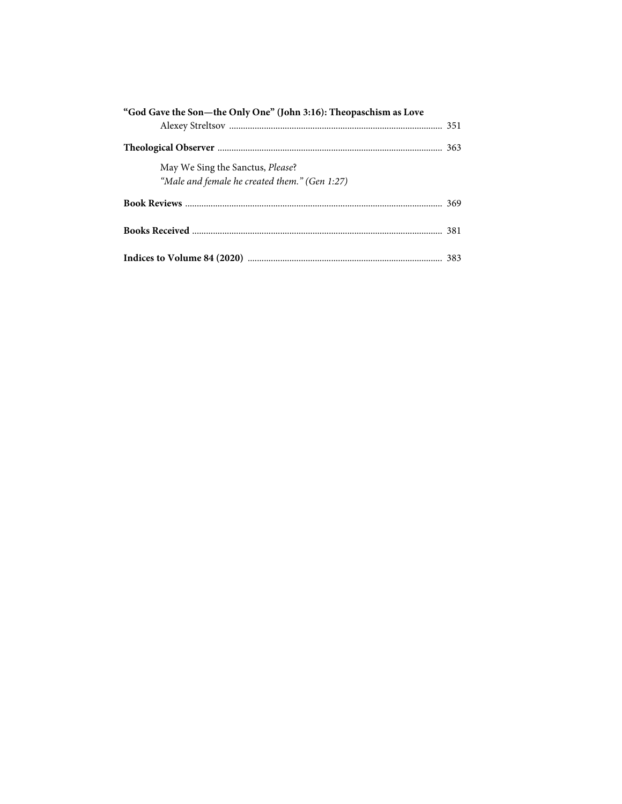| "God Gave the Son-the Only One" (John 3:16): Theopaschism as Love                 |  |
|-----------------------------------------------------------------------------------|--|
|                                                                                   |  |
| May We Sing the Sanctus, Please?<br>"Male and female he created them." (Gen 1:27) |  |
|                                                                                   |  |
|                                                                                   |  |
|                                                                                   |  |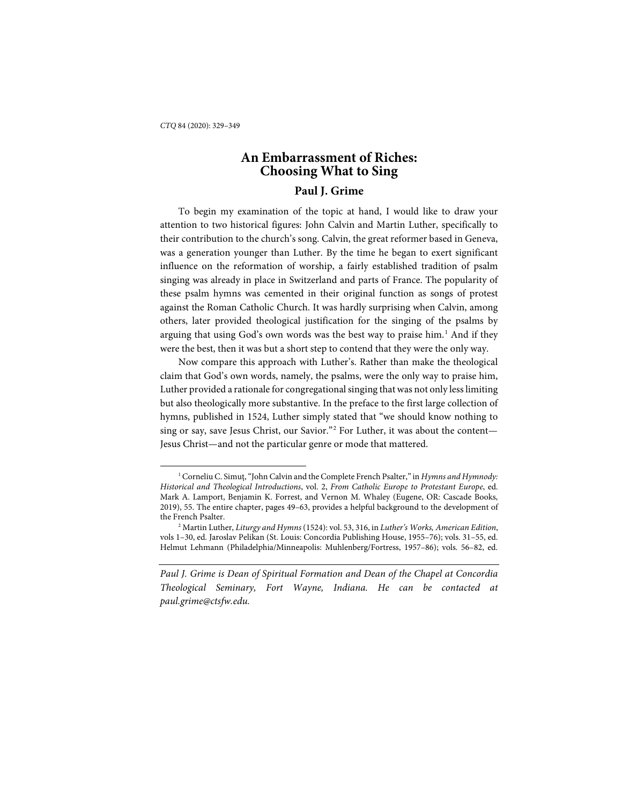-

## **An Embarrassment of Riches: Choosing What to Sing**

### **Paul J. Grime**

To begin my examination of the topic at hand, I would like to draw your attention to two historical figures: John Calvin and Martin Luther, specifically to their contribution to the church's song. Calvin, the great reformer based in Geneva, was a generation younger than Luther. By the time he began to exert significant influence on the reformation of worship, a fairly established tradition of psalm singing was already in place in Switzerland and parts of France. The popularity of these psalm hymns was cemented in their original function as songs of protest against the Roman Catholic Church. It was hardly surprising when Calvin, among others, later provided theological justification for the singing of the psalms by arguing that using God's own words was the best way to praise him.<sup>[1](#page-2-0)</sup> And if they were the best, then it was but a short step to contend that they were the only way.

Now compare this approach with Luther's. Rather than make the theological claim that God's own words, namely, the psalms, were the only way to praise him, Luther provided a rationale for congregational singing that was not only less limiting but also theologically more substantive. In the preface to the first large collection of hymns, published in 1524, Luther simply stated that "we should know nothing to sing or say, save Jesus Christ, our Savior."[2](#page-2-1) For Luther, it was about the content— Jesus Christ—and not the particular genre or mode that mattered.

<span id="page-2-0"></span><sup>&</sup>lt;sup>1</sup> Corneliu C. Simuţ, "John Calvin and the Complete French Psalter," in *Hymns and Hymnody*: *Historical and Theological Introductions*, vol. 2, *From Catholic Europe to Protestant Europe*, ed. Mark A. Lamport, Benjamin K. Forrest, and Vernon M. Whaley (Eugene, OR: Cascade Books, 2019), 55. The entire chapter, pages 49–63, provides a helpful background to the development of the French Psalter.

<span id="page-2-1"></span><sup>2</sup> Martin Luther, *Liturgy and Hymns* (1524): vol. 53, 316, in *Luther's Works, American Edition*, vols 1–30, ed. Jaroslav Pelikan (St. Louis: Concordia Publishing House, 1955–76); vols. 31–55, ed. Helmut Lehmann (Philadelphia/Minneapolis: Muhlenberg/Fortress, 1957–86); vols. 56–82, ed.

*Paul J. Grime is Dean of Spiritual Formation and Dean of the Chapel at Concordia Theological Seminary, Fort Wayne, Indiana. He can be contacted at paul.grime@ctsfw.edu.*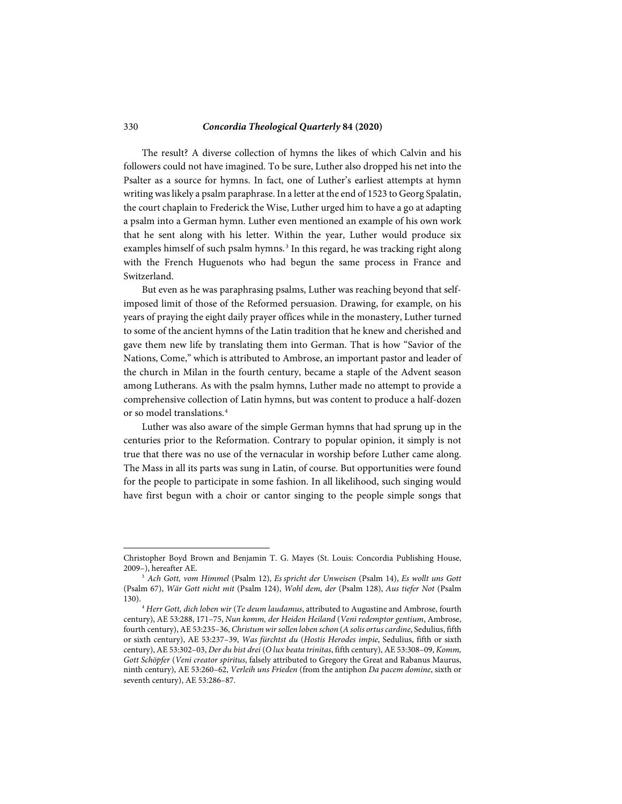#### 330 *Concordia Theological Quarterly* **84 (2020)**

The result? A diverse collection of hymns the likes of which Calvin and his followers could not have imagined. To be sure, Luther also dropped his net into the Psalter as a source for hymns. In fact, one of Luther's earliest attempts at hymn writing was likely a psalm paraphrase. In a letter at the end of 1523 to Georg Spalatin, the court chaplain to Frederick the Wise, Luther urged him to have a go at adapting a psalm into a German hymn. Luther even mentioned an example of his own work that he sent along with his letter. Within the year, Luther would produce six examples himself of such psalm hymns.<sup>[3](#page-3-0)</sup> In this regard, he was tracking right along with the French Huguenots who had begun the same process in France and Switzerland.

But even as he was paraphrasing psalms, Luther was reaching beyond that selfimposed limit of those of the Reformed persuasion. Drawing, for example, on his years of praying the eight daily prayer offices while in the monastery, Luther turned to some of the ancient hymns of the Latin tradition that he knew and cherished and gave them new life by translating them into German. That is how "Savior of the Nations, Come," which is attributed to Ambrose, an important pastor and leader of the church in Milan in the fourth century, became a staple of the Advent season among Lutherans. As with the psalm hymns, Luther made no attempt to provide a comprehensive collection of Latin hymns, but was content to produce a half-dozen or so model translations.<sup>[4](#page-3-1)</sup>

Luther was also aware of the simple German hymns that had sprung up in the centuries prior to the Reformation. Contrary to popular opinion, it simply is not true that there was no use of the vernacular in worship before Luther came along. The Mass in all its parts was sung in Latin, of course. But opportunities were found for the people to participate in some fashion. In all likelihood, such singing would have first begun with a choir or cantor singing to the people simple songs that

Christopher Boyd Brown and Benjamin T. G. Mayes (St. Louis: Concordia Publishing House, 2009–), hereafter AE.

<span id="page-3-0"></span><sup>3</sup> *Ach Gott, vom Himmel* (Psalm 12), *Es spricht der Unweisen* (Psalm 14), *Es wollt uns Gott*  (Psalm 67), *Wär Gott nicht mit* (Psalm 124), *Wohl dem, der* (Psalm 128), *Aus tiefer Not* (Psalm 130).

<span id="page-3-1"></span><sup>4</sup> *Herr Gott, dich loben wir* (*Te deum laudamus*, attributed to Augustine and Ambrose, fourth century), AE 53:288, 171–75, *Nun komm, der Heiden Heiland* (*Veni redemptor gentium*, Ambrose, fourth century), AE 53:235–36, *Christum wir sollen loben schon* (*A solis ortus cardine*, Sedulius, fifth or sixth century), AE 53:237–39, *Was fürchtst du* (*Hostis Herodes impie*, Sedulius, fifth or sixth century), AE 53:302–03, *Der du bist drei* (*O lux beata trinitas*, fifth century), AE 53:308–09, *Komm, Gott Schöpfer* (*Veni creator spiritus*, falsely attributed to Gregory the Great and Rabanus Maurus, ninth century), AE 53:260–62, *Verleih uns Frieden* (from the antiphon *Da pacem domine*, sixth or seventh century), AE 53:286–87.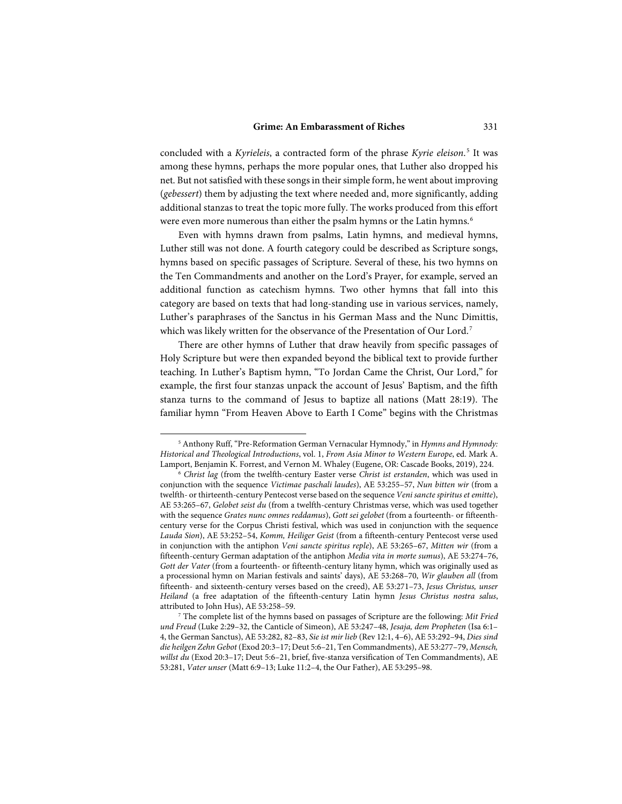concluded with a *Kyrieleis*, a contracted form of the phrase *Kyrie eleison*. [5](#page-4-0) It was among these hymns, perhaps the more popular ones, that Luther also dropped his net. But not satisfied with these songs in their simple form, he went about improving (*gebessert*) them by adjusting the text where needed and, more significantly, adding additional stanzas to treat the topic more fully. The works produced from this effort were even more numerous than either the psalm hymns or the Latin hymns.<sup>[6](#page-4-1)</sup>

Even with hymns drawn from psalms, Latin hymns, and medieval hymns, Luther still was not done. A fourth category could be described as Scripture songs, hymns based on specific passages of Scripture. Several of these, his two hymns on the Ten Commandments and another on the Lord's Prayer, for example, served an additional function as catechism hymns. Two other hymns that fall into this category are based on texts that had long-standing use in various services, namely, Luther's paraphrases of the Sanctus in his German Mass and the Nunc Dimittis, which was likely written for the observance of the Presentation of Our Lord.<sup>[7](#page-4-2)</sup>

There are other hymns of Luther that draw heavily from specific passages of Holy Scripture but were then expanded beyond the biblical text to provide further teaching. In Luther's Baptism hymn, "To Jordan Came the Christ, Our Lord," for example, the first four stanzas unpack the account of Jesus' Baptism, and the fifth stanza turns to the command of Jesus to baptize all nations (Matt 28:19). The familiar hymn "From Heaven Above to Earth I Come" begins with the Christmas

<span id="page-4-0"></span><sup>5</sup> Anthony Ruff, "Pre-Reformation German Vernacular Hymnody," in *Hymns and Hymnody: Historical and Theological Introductions*, vol. 1, *From Asia Minor to Western Europe*, ed. Mark A. Lamport, Benjamin K. Forrest, and Vernon M. Whaley (Eugene, OR: Cascade Books, 2019), 224.

<span id="page-4-1"></span><sup>6</sup> *Christ lag* (from the twelfth-century Easter verse *Christ ist erstanden*, which was used in conjunction with the sequence *Victimae paschali laudes*), AE 53:255–57, *Nun bitten wir* (from a twelfth- or thirteenth-century Pentecost verse based on the sequence *Veni sancte spiritus et emitte*), AE 53:265–67, *Gelobet seist du* (from a twelfth-century Christmas verse, which was used together with the sequence *Grates nunc omnes reddamus*), *Gott sei gelobet* (from a fourteenth- or fifteenthcentury verse for the Corpus Christi festival, which was used in conjunction with the sequence *Lauda Sion*), AE 53:252–54, *Komm, Heiliger Geist* (from a fifteenth-century Pentecost verse used in conjunction with the antiphon *Veni sancte spiritus reple*), AE 53:265–67, *Mitten wir* (from a fifteenth-century German adaptation of the antiphon *Media vita in morte sumus*), AE 53:274–76, *Gott der Vater* (from a fourteenth- or fifteenth-century litany hymn, which was originally used as a processional hymn on Marian festivals and saints' days), AE 53:268–70, *Wir glauben all* (from fifteenth- and sixteenth-century verses based on the creed), AE 53:271–73, *Jesus Christus, unser Heiland* (a free adaptation of the fifteenth-century Latin hymn *Jesus Christus nostra salus*, attributed to John Hus), AE 53:258–59.

<span id="page-4-2"></span><sup>7</sup> The complete list of the hymns based on passages of Scripture are the following: *Mit Fried und Freud* (Luke 2:29–32, the Canticle of Simeon), AE 53:247–48, *Jesaja, dem Propheten* (Isa 6:1– 4, the German Sanctus), AE 53:282, 82–83, *Sie ist mir lieb* (Rev 12:1, 4–6), AE 53:292–94, *Dies sind die heilgen Zehn Gebot* (Exod 20:3–17; Deut 5:6–21, Ten Commandments), AE 53:277–79, *Mensch, willst du* (Exod 20:3–17; Deut 5:6–21, brief, five-stanza versification of Ten Commandments), AE 53:281, *Vater unser* (Matt 6:9–13; Luke 11:2–4, the Our Father), AE 53:295–98.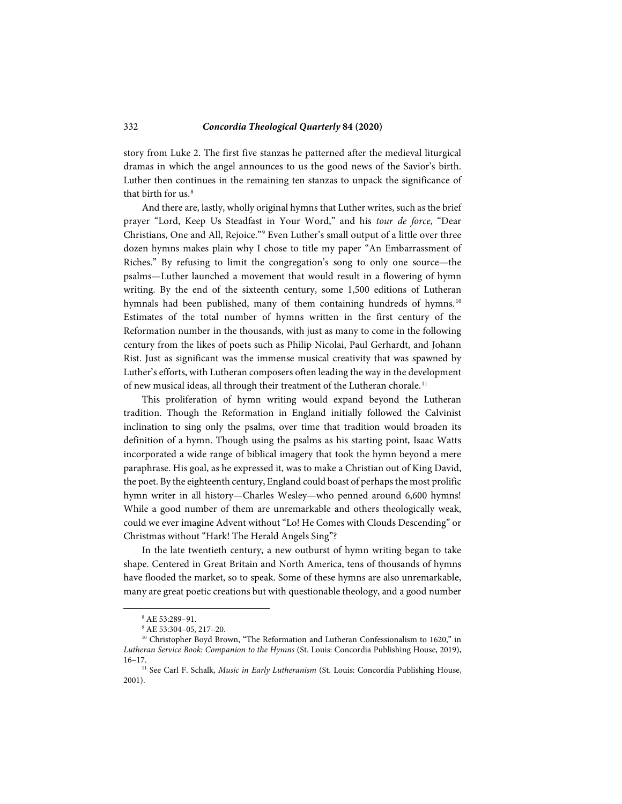story from Luke 2. The first five stanzas he patterned after the medieval liturgical dramas in which the angel announces to us the good news of the Savior's birth. Luther then continues in the remaining ten stanzas to unpack the significance of that birth for  $us<sup>8</sup>$  $us<sup>8</sup>$  $us<sup>8</sup>$ 

And there are, lastly, wholly original hymns that Luther writes, such as the brief prayer "Lord, Keep Us Steadfast in Your Word," and his *tour de force*, "Dear Christians, One and All, Rejoice."[9](#page-5-1) Even Luther's small output of a little over three dozen hymns makes plain why I chose to title my paper "An Embarrassment of Riches." By refusing to limit the congregation's song to only one source—the psalms—Luther launched a movement that would result in a flowering of hymn writing. By the end of the sixteenth century, some 1,500 editions of Lutheran hymnals had been published, many of them containing hundreds of hymns.<sup>[10](#page-5-2)</sup> Estimates of the total number of hymns written in the first century of the Reformation number in the thousands, with just as many to come in the following century from the likes of poets such as Philip Nicolai, Paul Gerhardt, and Johann Rist. Just as significant was the immense musical creativity that was spawned by Luther's efforts, with Lutheran composers often leading the way in the development of new musical ideas, all through their treatment of the Lutheran chorale.<sup>[11](#page-5-3)</sup>

This proliferation of hymn writing would expand beyond the Lutheran tradition. Though the Reformation in England initially followed the Calvinist inclination to sing only the psalms, over time that tradition would broaden its definition of a hymn. Though using the psalms as his starting point, Isaac Watts incorporated a wide range of biblical imagery that took the hymn beyond a mere paraphrase. His goal, as he expressed it, was to make a Christian out of King David, the poet. By the eighteenth century, England could boast of perhaps the most prolific hymn writer in all history—Charles Wesley—who penned around 6,600 hymns! While a good number of them are unremarkable and others theologically weak, could we ever imagine Advent without "Lo! He Comes with Clouds Descending" or Christmas without "Hark! The Herald Angels Sing"?

In the late twentieth century, a new outburst of hymn writing began to take shape. Centered in Great Britain and North America, tens of thousands of hymns have flooded the market, so to speak. Some of these hymns are also unremarkable, many are great poetic creations but with questionable theology, and a good number

<sup>8</sup> AE 53:289–91.

<sup>9</sup> AE 53:304–05, 217–20.

<span id="page-5-2"></span><span id="page-5-1"></span><span id="page-5-0"></span><sup>&</sup>lt;sup>10</sup> Christopher Boyd Brown, "The Reformation and Lutheran Confessionalism to 1620," in *Lutheran Service Book: Companion to the Hymns* (St. Louis: Concordia Publishing House, 2019), 16–17.

<span id="page-5-3"></span><sup>&</sup>lt;sup>11</sup> See Carl F. Schalk, *Music in Early Lutheranism* (St. Louis: Concordia Publishing House, 2001).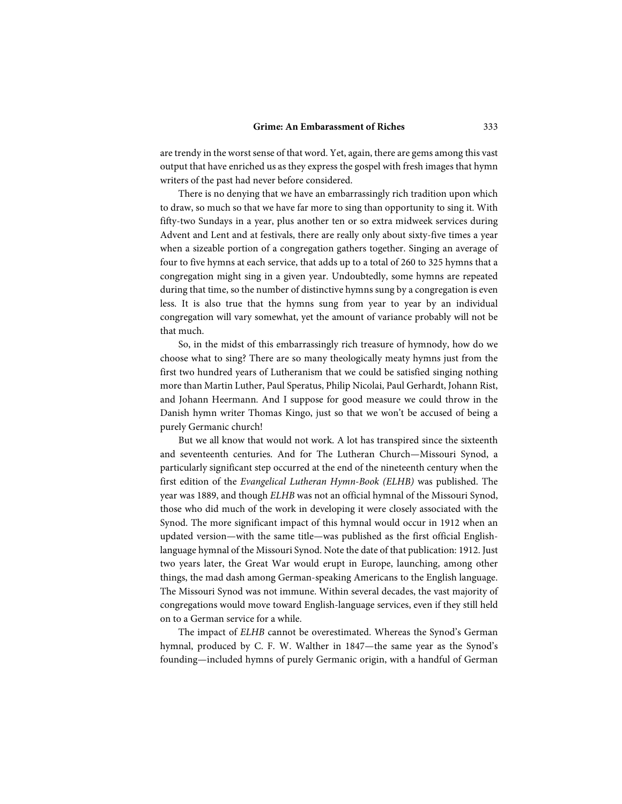are trendy in the worst sense of that word. Yet, again, there are gems among this vast output that have enriched us as they express the gospel with fresh images that hymn writers of the past had never before considered.

There is no denying that we have an embarrassingly rich tradition upon which to draw, so much so that we have far more to sing than opportunity to sing it. With fifty-two Sundays in a year, plus another ten or so extra midweek services during Advent and Lent and at festivals, there are really only about sixty-five times a year when a sizeable portion of a congregation gathers together. Singing an average of four to five hymns at each service, that adds up to a total of 260 to 325 hymns that a congregation might sing in a given year. Undoubtedly, some hymns are repeated during that time, so the number of distinctive hymns sung by a congregation is even less. It is also true that the hymns sung from year to year by an individual congregation will vary somewhat, yet the amount of variance probably will not be that much.

So, in the midst of this embarrassingly rich treasure of hymnody, how do we choose what to sing? There are so many theologically meaty hymns just from the first two hundred years of Lutheranism that we could be satisfied singing nothing more than Martin Luther, Paul Speratus, Philip Nicolai, Paul Gerhardt, Johann Rist, and Johann Heermann. And I suppose for good measure we could throw in the Danish hymn writer Thomas Kingo, just so that we won't be accused of being a purely Germanic church!

But we all know that would not work. A lot has transpired since the sixteenth and seventeenth centuries. And for The Lutheran Church—Missouri Synod, a particularly significant step occurred at the end of the nineteenth century when the first edition of the *Evangelical Lutheran Hymn-Book (ELHB)* was published. The year was 1889, and though *ELHB* was not an official hymnal of the Missouri Synod, those who did much of the work in developing it were closely associated with the Synod. The more significant impact of this hymnal would occur in 1912 when an updated version—with the same title—was published as the first official Englishlanguage hymnal of the Missouri Synod. Note the date of that publication: 1912. Just two years later, the Great War would erupt in Europe, launching, among other things, the mad dash among German-speaking Americans to the English language. The Missouri Synod was not immune. Within several decades, the vast majority of congregations would move toward English-language services, even if they still held on to a German service for a while.

The impact of *ELHB* cannot be overestimated. Whereas the Synod's German hymnal, produced by C. F. W. Walther in 1847—the same year as the Synod's founding—included hymns of purely Germanic origin, with a handful of German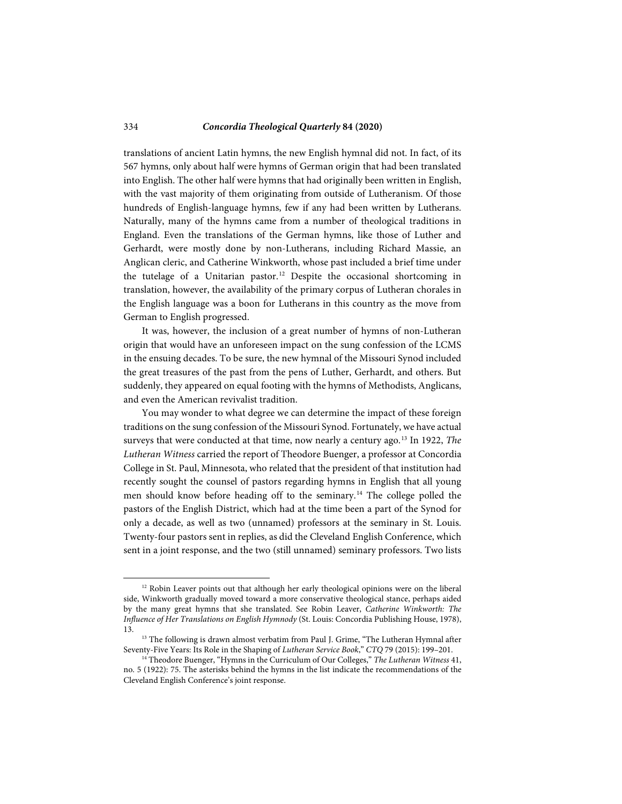translations of ancient Latin hymns, the new English hymnal did not. In fact, of its 567 hymns, only about half were hymns of German origin that had been translated into English. The other half were hymns that had originally been written in English, with the vast majority of them originating from outside of Lutheranism. Of those hundreds of English-language hymns, few if any had been written by Lutherans. Naturally, many of the hymns came from a number of theological traditions in England. Even the translations of the German hymns, like those of Luther and Gerhardt, were mostly done by non-Lutherans, including Richard Massie, an Anglican cleric, and Catherine Winkworth, whose past included a brief time under the tutelage of a Unitarian pastor.<sup>[12](#page-7-0)</sup> Despite the occasional shortcoming in translation, however, the availability of the primary corpus of Lutheran chorales in the English language was a boon for Lutherans in this country as the move from German to English progressed.

It was, however, the inclusion of a great number of hymns of non-Lutheran origin that would have an unforeseen impact on the sung confession of the LCMS in the ensuing decades. To be sure, the new hymnal of the Missouri Synod included the great treasures of the past from the pens of Luther, Gerhardt, and others. But suddenly, they appeared on equal footing with the hymns of Methodists, Anglicans, and even the American revivalist tradition.

You may wonder to what degree we can determine the impact of these foreign traditions on the sung confession of the Missouri Synod. Fortunately, we have actual surveys that were conducted at that time, now nearly a century ago.[13](#page-7-1) In 1922, *The Lutheran Witness* carried the report of Theodore Buenger, a professor at Concordia College in St. Paul, Minnesota, who related that the president of that institution had recently sought the counsel of pastors regarding hymns in English that all young men should know before heading off to the seminary.<sup>[14](#page-7-2)</sup> The college polled the pastors of the English District, which had at the time been a part of the Synod for only a decade, as well as two (unnamed) professors at the seminary in St. Louis. Twenty-four pastors sent in replies, as did the Cleveland English Conference, which sent in a joint response, and the two (still unnamed) seminary professors. Two lists

<span id="page-7-0"></span><sup>&</sup>lt;sup>12</sup> Robin Leaver points out that although her early theological opinions were on the liberal side, Winkworth gradually moved toward a more conservative theological stance, perhaps aided by the many great hymns that she translated. See Robin Leaver, *Catherine Winkworth: The Influence of Her Translations on English Hymnody* (St. Louis: Concordia Publishing House, 1978), 13.

<span id="page-7-1"></span><sup>&</sup>lt;sup>13</sup> The following is drawn almost verbatim from Paul J. Grime, "The Lutheran Hymnal after Seventy-Five Years: Its Role in the Shaping of *Lutheran Service Book*," *CTQ* 79 (2015): 199–201.

<span id="page-7-2"></span><sup>14</sup> Theodore Buenger, "Hymns in the Curriculum of Our Colleges," *The Lutheran Witness* 41, no. 5 (1922): 75. The asterisks behind the hymns in the list indicate the recommendations of the Cleveland English Conference's joint response.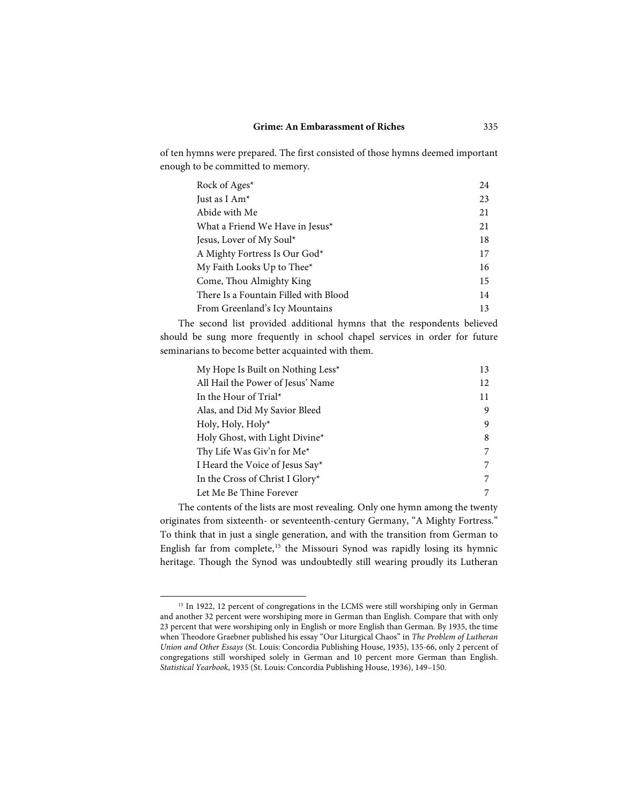of ten hymns were prepared. The first consisted of those hymns deemed important enough to be committed to memory.

| Rock of Ages*                         | 24 |
|---------------------------------------|----|
| Just as I Am*                         | 23 |
| Abide with Me                         | 21 |
| What a Friend We Have in Jesus*       | 21 |
| Jesus, Lover of My Soul*              | 18 |
| A Mighty Fortress Is Our God*         | 17 |
| My Faith Looks Up to Thee*            | 16 |
| Come, Thou Almighty King              | 15 |
| There Is a Fountain Filled with Blood | 14 |
| From Greenland's Icy Mountains        | 13 |

The second list provided additional hymns that the respondents believed should be sung more frequently in school chapel services in order for future seminarians to become better acquainted with them.

| My Hope Is Built on Nothing Less <sup>*</sup> | 13 |
|-----------------------------------------------|----|
| All Hail the Power of Jesus' Name             | 12 |
| In the Hour of Trial*                         | 11 |
| Alas, and Did My Savior Bleed                 | 9  |
| Holy, Holy, Holy*                             | 9  |
| Holy Ghost, with Light Divine*                | 8  |
| Thy Life Was Giv'n for Me*                    | 7  |
| I Heard the Voice of Jesus Say*               | 7  |
| In the Cross of Christ I Glory*               | 7  |
| Let Me Be Thine Forever                       |    |

The contents of the lists are most revealing. Only one hymn among the twenty originates from sixteenth- or seventeenth-century Germany, "A Mighty Fortress." To think that in just a single generation, and with the transition from German to English far from complete,<sup>[15](#page-8-0)</sup> the Missouri Synod was rapidly losing its hymnic heritage. Though the Synod was undoubtedly still wearing proudly its Lutheran

<span id="page-8-0"></span><sup>&</sup>lt;sup>15</sup> In 1922, 12 percent of congregations in the LCMS were still worshiping only in German and another 32 percent were worshiping more in German than English. Compare that with only 23 percent that were worshiping only in English or more English than German. By 1935, the time when Theodore Graebner published his essay "Our Liturgical Chaos" in *The Problem of Lutheran Union and Other Essays* (St. Louis: Concordia Publishing House, 1935), 135-66, only 2 percent of congregations still worshiped solely in German and 10 percent more German than English. *Statistical Yearbook*, 1935 (St. Louis: Concordia Publishing House, 1936), 149–150.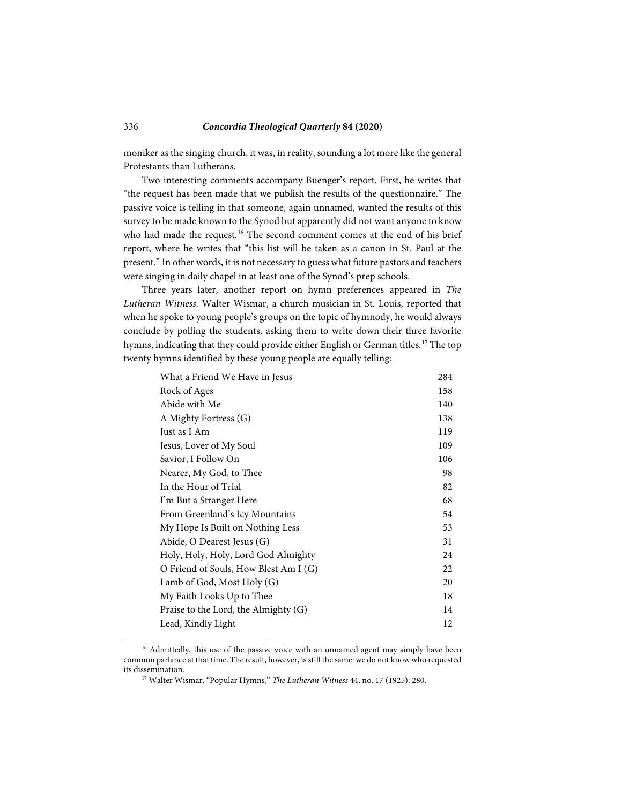moniker as the singing church, it was, in reality, sounding a lot more like the general Protestants than Lutherans.

Two interesting comments accompany Buenger's report. First, he writes that "the request has been made that we publish the results of the questionnaire." The passive voice is telling in that someone, again unnamed, wanted the results of this survey to be made known to the Synod but apparently did not want anyone to know who had made the request.<sup>[16](#page-9-0)</sup> The second comment comes at the end of his brief report, where he writes that "this list will be taken as a canon in St. Paul at the present." In other words, it is not necessary to guess what future pastors and teachers were singing in daily chapel in at least one of the Synod's prep schools.

Three years later, another report on hymn preferences appeared in *The Lutheran Witness*. Walter Wismar, a church musician in St. Louis, reported that when he spoke to young people's groups on the topic of hymnody, he would always conclude by polling the students, asking them to write down their three favorite hymns, indicating that they could provide either English or German titles.<sup>[17](#page-9-1)</sup> The top twenty hymns identified by these young people are equally telling:

| What a Friend We Have in Jesus        | 284 |
|---------------------------------------|-----|
| Rock of Ages                          | 158 |
| Abide with Me                         | 140 |
| A Mighty Fortress (G)                 | 138 |
| Just as I Am                          | 119 |
| Jesus, Lover of My Soul               | 109 |
| Savior, I Follow On                   | 106 |
| Nearer, My God, to Thee               | 98  |
| In the Hour of Trial                  | 82  |
| I'm But a Stranger Here               | 68  |
| From Greenland's Icy Mountains        | 54  |
| My Hope Is Built on Nothing Less      | 53  |
| Abide, O Dearest Jesus (G)            | 31  |
| Holy, Holy, Holy, Lord God Almighty   | 24  |
| O Friend of Souls, How Blest Am I (G) | 22  |
| Lamb of God, Most Holy (G)            | 20  |
| My Faith Looks Up to Thee             | 18  |
| Praise to the Lord, the Almighty (G)  | 14  |
| Lead, Kindly Light                    | 12  |

<span id="page-9-1"></span><span id="page-9-0"></span><sup>&</sup>lt;sup>16</sup> Admittedly, this use of the passive voice with an unnamed agent may simply have been common parlance at that time. The result, however, is still the same: we do not know who requested its dissemination.

<sup>17</sup> Walter Wismar, "Popular Hymns," *The Lutheran Witness* 44, no. 17 (1925): 280.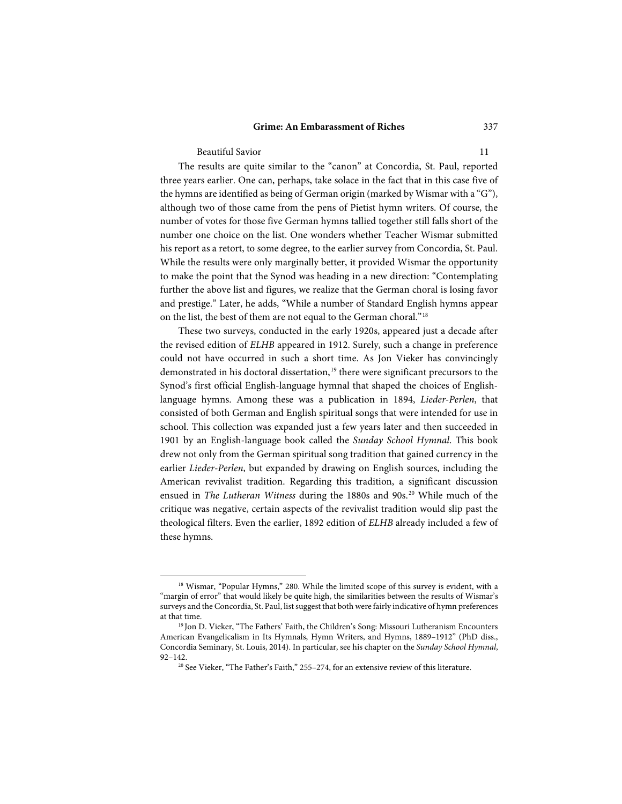#### **Grime: An Embarassment of Riches** 337

Beautiful Savior 11

l

The results are quite similar to the "canon" at Concordia, St. Paul, reported three years earlier. One can, perhaps, take solace in the fact that in this case five of the hymns are identified as being of German origin (marked by Wismar with a "G"), although two of those came from the pens of Pietist hymn writers. Of course, the number of votes for those five German hymns tallied together still falls short of the number one choice on the list. One wonders whether Teacher Wismar submitted his report as a retort, to some degree, to the earlier survey from Concordia, St. Paul. While the results were only marginally better, it provided Wismar the opportunity to make the point that the Synod was heading in a new direction: "Contemplating further the above list and figures, we realize that the German choral is losing favor and prestige." Later, he adds, "While a number of Standard English hymns appear on the list, the best of them are not equal to the German choral."[18](#page-10-0)

These two surveys, conducted in the early 1920s, appeared just a decade after the revised edition of *ELHB* appeared in 1912. Surely, such a change in preference could not have occurred in such a short time. As Jon Vieker has convincingly demonstrated in his doctoral dissertation,<sup>[19](#page-10-1)</sup> there were significant precursors to the Synod's first official English-language hymnal that shaped the choices of Englishlanguage hymns. Among these was a publication in 1894, *Lieder-Perlen*, that consisted of both German and English spiritual songs that were intended for use in school. This collection was expanded just a few years later and then succeeded in 1901 by an English-language book called the *Sunday School Hymnal*. This book drew not only from the German spiritual song tradition that gained currency in the earlier *Lieder-Perlen*, but expanded by drawing on English sources, including the American revivalist tradition. Regarding this tradition, a significant discussion ensued in *The Lutheran Witness* during the 1880s and 90s.<sup>[20](#page-10-2)</sup> While much of the critique was negative, certain aspects of the revivalist tradition would slip past the theological filters. Even the earlier, 1892 edition of *ELHB* already included a few of these hymns.

<span id="page-10-0"></span><sup>&</sup>lt;sup>18</sup> Wismar, "Popular Hymns," 280. While the limited scope of this survey is evident, with a "margin of error" that would likely be quite high, the similarities between the results of Wismar's surveys and the Concordia, St. Paul, list suggest that both were fairly indicative of hymn preferences at that time.

<span id="page-10-2"></span><span id="page-10-1"></span><sup>19</sup> Jon D. Vieker, "The Fathers' Faith, the Children's Song: Missouri Lutheranism Encounters American Evangelicalism in Its Hymnals, Hymn Writers, and Hymns, 1889–1912" (PhD diss., Concordia Seminary, St. Louis, 2014). In particular, see his chapter on the *Sunday School Hymnal*, 92–142.

<sup>&</sup>lt;sup>20</sup> See Vieker, "The Father's Faith," 255–274, for an extensive review of this literature.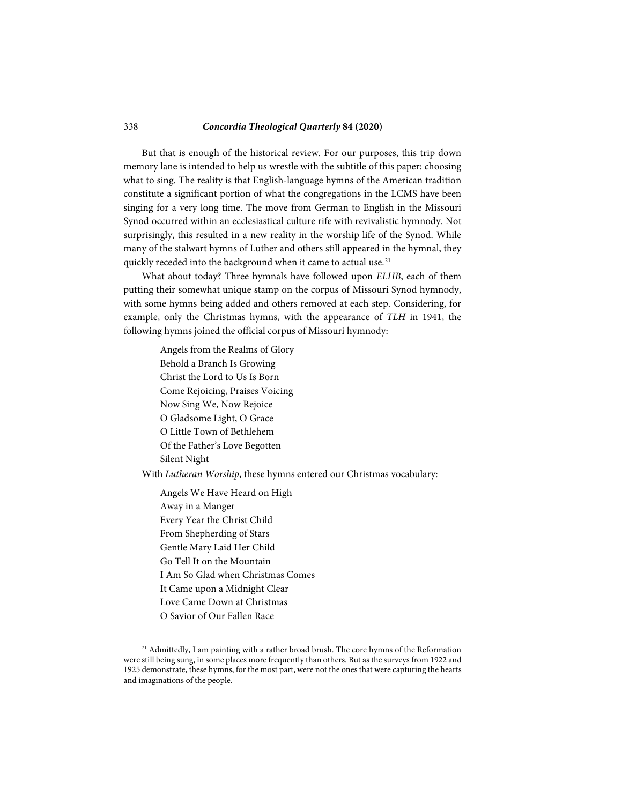But that is enough of the historical review. For our purposes, this trip down memory lane is intended to help us wrestle with the subtitle of this paper: choosing what to sing. The reality is that English-language hymns of the American tradition constitute a significant portion of what the congregations in the LCMS have been singing for a very long time. The move from German to English in the Missouri Synod occurred within an ecclesiastical culture rife with revivalistic hymnody. Not surprisingly, this resulted in a new reality in the worship life of the Synod. While many of the stalwart hymns of Luther and others still appeared in the hymnal, they quickly receded into the background when it came to actual use.<sup>[21](#page-11-0)</sup>

What about today? Three hymnals have followed upon *ELHB*, each of them putting their somewhat unique stamp on the corpus of Missouri Synod hymnody, with some hymns being added and others removed at each step. Considering, for example, only the Christmas hymns, with the appearance of *TLH* in 1941, the following hymns joined the official corpus of Missouri hymnody:

> Angels from the Realms of Glory Behold a Branch Is Growing Christ the Lord to Us Is Born Come Rejoicing, Praises Voicing Now Sing We, Now Rejoice O Gladsome Light, O Grace O Little Town of Bethlehem Of the Father's Love Begotten Silent Night

With *Lutheran Worship*, these hymns entered our Christmas vocabulary:

Angels We Have Heard on High Away in a Manger Every Year the Christ Child From Shepherding of Stars Gentle Mary Laid Her Child Go Tell It on the Mountain I Am So Glad when Christmas Comes It Came upon a Midnight Clear Love Came Down at Christmas O Savior of Our Fallen Race

<span id="page-11-0"></span> $21$  Admittedly, I am painting with a rather broad brush. The core hymns of the Reformation were still being sung, in some places more frequently than others. But as the surveys from 1922 and 1925 demonstrate, these hymns, for the most part, were not the ones that were capturing the hearts and imaginations of the people.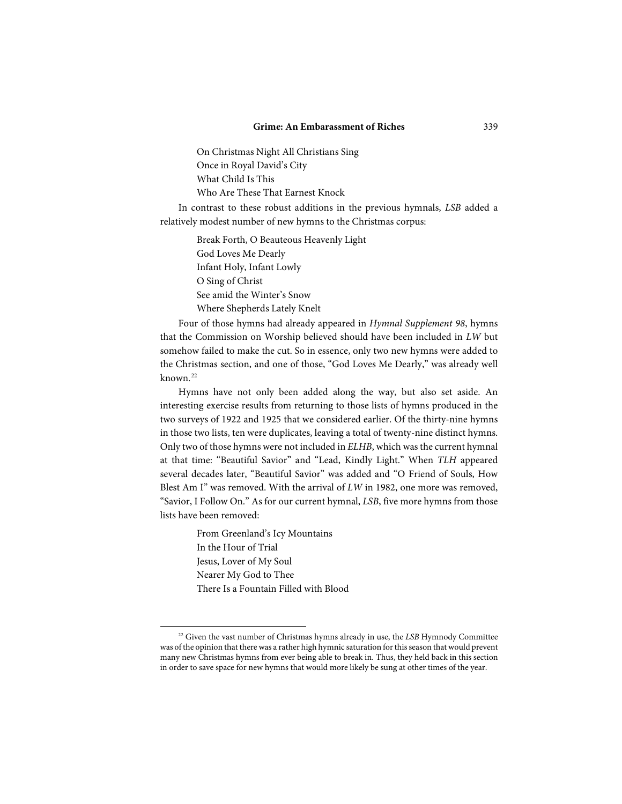On Christmas Night All Christians Sing Once in Royal David's City What Child Is This Who Are These That Earnest Knock

In contrast to these robust additions in the previous hymnals, *LSB* added a relatively modest number of new hymns to the Christmas corpus:

> Break Forth, O Beauteous Heavenly Light God Loves Me Dearly Infant Holy, Infant Lowly O Sing of Christ See amid the Winter's Snow Where Shepherds Lately Knelt

Four of those hymns had already appeared in *Hymnal Supplement 98*, hymns that the Commission on Worship believed should have been included in *LW* but somehow failed to make the cut. So in essence, only two new hymns were added to the Christmas section, and one of those, "God Loves Me Dearly," was already well known.[22](#page-12-0)

Hymns have not only been added along the way, but also set aside. An interesting exercise results from returning to those lists of hymns produced in the two surveys of 1922 and 1925 that we considered earlier. Of the thirty-nine hymns in those two lists, ten were duplicates, leaving a total of twenty-nine distinct hymns. Only two of those hymns were not included in *ELHB*, which was the current hymnal at that time: "Beautiful Savior" and "Lead, Kindly Light." When *TLH* appeared several decades later, "Beautiful Savior" was added and "O Friend of Souls, How Blest Am I" was removed. With the arrival of *LW* in 1982, one more was removed, "Savior, I Follow On." As for our current hymnal, *LSB*, five more hymns from those lists have been removed:

> From Greenland's Icy Mountains In the Hour of Trial Jesus, Lover of My Soul Nearer My God to Thee There Is a Fountain Filled with Blood

<span id="page-12-0"></span><sup>22</sup> Given the vast number of Christmas hymns already in use, the *LSB* Hymnody Committee was of the opinion that there was a rather high hymnic saturation for this season that would prevent many new Christmas hymns from ever being able to break in. Thus, they held back in this section in order to save space for new hymns that would more likely be sung at other times of the year.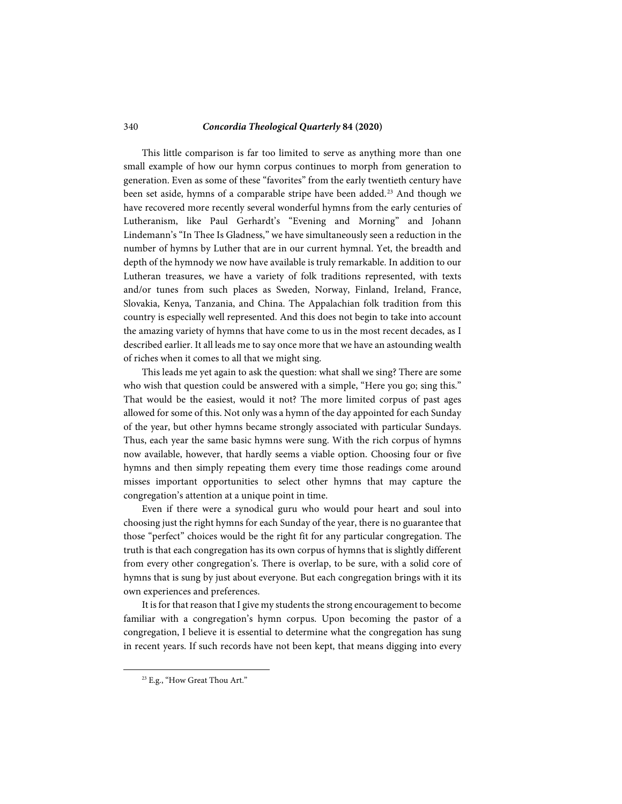#### 340 *Concordia Theological Quarterly* **84 (2020)**

This little comparison is far too limited to serve as anything more than one small example of how our hymn corpus continues to morph from generation to generation. Even as some of these "favorites" from the early twentieth century have been set aside, hymns of a comparable stripe have been added.<sup>[23](#page-13-0)</sup> And though we have recovered more recently several wonderful hymns from the early centuries of Lutheranism, like Paul Gerhardt's "Evening and Morning" and Johann Lindemann's "In Thee Is Gladness," we have simultaneously seen a reduction in the number of hymns by Luther that are in our current hymnal. Yet, the breadth and depth of the hymnody we now have available is truly remarkable. In addition to our Lutheran treasures, we have a variety of folk traditions represented, with texts and/or tunes from such places as Sweden, Norway, Finland, Ireland, France, Slovakia, Kenya, Tanzania, and China. The Appalachian folk tradition from this country is especially well represented. And this does not begin to take into account the amazing variety of hymns that have come to us in the most recent decades, as I described earlier. It all leads me to say once more that we have an astounding wealth of riches when it comes to all that we might sing.

This leads me yet again to ask the question: what shall we sing? There are some who wish that question could be answered with a simple, "Here you go; sing this." That would be the easiest, would it not? The more limited corpus of past ages allowed for some of this. Not only was a hymn of the day appointed for each Sunday of the year, but other hymns became strongly associated with particular Sundays. Thus, each year the same basic hymns were sung. With the rich corpus of hymns now available, however, that hardly seems a viable option. Choosing four or five hymns and then simply repeating them every time those readings come around misses important opportunities to select other hymns that may capture the congregation's attention at a unique point in time.

Even if there were a synodical guru who would pour heart and soul into choosing just the right hymns for each Sunday of the year, there is no guarantee that those "perfect" choices would be the right fit for any particular congregation. The truth is that each congregation has its own corpus of hymns that is slightly different from every other congregation's. There is overlap, to be sure, with a solid core of hymns that is sung by just about everyone. But each congregation brings with it its own experiences and preferences.

It is for that reason that I give my students the strong encouragement to become familiar with a congregation's hymn corpus. Upon becoming the pastor of a congregation, I believe it is essential to determine what the congregation has sung in recent years. If such records have not been kept, that means digging into every

<span id="page-13-0"></span><sup>&</sup>lt;sup>23</sup> E.g., "How Great Thou Art."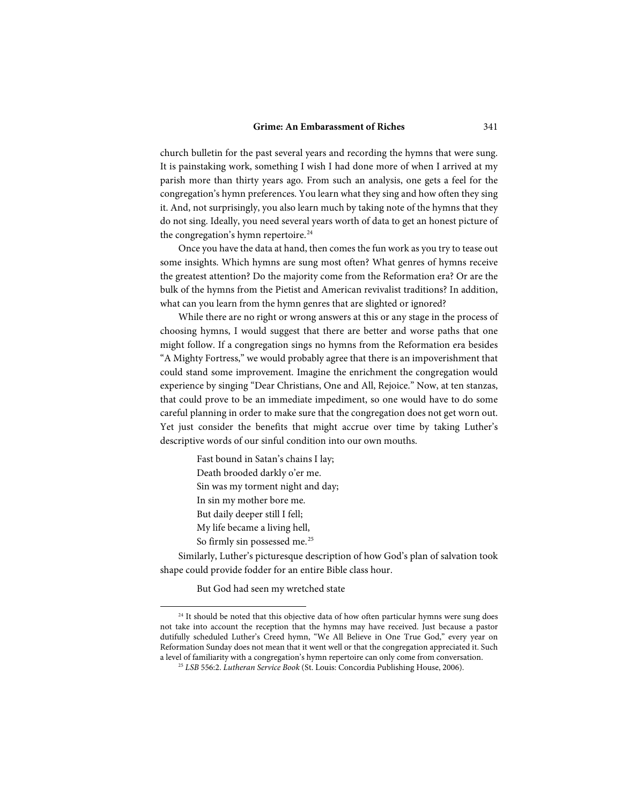church bulletin for the past several years and recording the hymns that were sung. It is painstaking work, something I wish I had done more of when I arrived at my parish more than thirty years ago. From such an analysis, one gets a feel for the congregation's hymn preferences. You learn what they sing and how often they sing it. And, not surprisingly, you also learn much by taking note of the hymns that they do not sing. Ideally, you need several years worth of data to get an honest picture of the congregation's hymn repertoire.<sup>[24](#page-14-0)</sup>

Once you have the data at hand, then comes the fun work as you try to tease out some insights. Which hymns are sung most often? What genres of hymns receive the greatest attention? Do the majority come from the Reformation era? Or are the bulk of the hymns from the Pietist and American revivalist traditions? In addition, what can you learn from the hymn genres that are slighted or ignored?

While there are no right or wrong answers at this or any stage in the process of choosing hymns, I would suggest that there are better and worse paths that one might follow. If a congregation sings no hymns from the Reformation era besides "A Mighty Fortress," we would probably agree that there is an impoverishment that could stand some improvement. Imagine the enrichment the congregation would experience by singing "Dear Christians, One and All, Rejoice." Now, at ten stanzas, that could prove to be an immediate impediment, so one would have to do some careful planning in order to make sure that the congregation does not get worn out. Yet just consider the benefits that might accrue over time by taking Luther's descriptive words of our sinful condition into our own mouths.

> Fast bound in Satan's chains I lay; Death brooded darkly o'er me. Sin was my torment night and day; In sin my mother bore me. But daily deeper still I fell; My life became a living hell, So firmly sin possessed me.<sup>[25](#page-14-1)</sup>

Similarly, Luther's picturesque description of how God's plan of salvation took shape could provide fodder for an entire Bible class hour.

But God had seen my wretched state

<span id="page-14-1"></span><span id="page-14-0"></span><sup>&</sup>lt;sup>24</sup> It should be noted that this objective data of how often particular hymns were sung does not take into account the reception that the hymns may have received. Just because a pastor dutifully scheduled Luther's Creed hymn, "We All Believe in One True God," every year on Reformation Sunday does not mean that it went well or that the congregation appreciated it. Such a level of familiarity with a congregation's hymn repertoire can only come from conversation.

<sup>25</sup> *LSB* 556:2. *Lutheran Service Book* (St. Louis: Concordia Publishing House, 2006).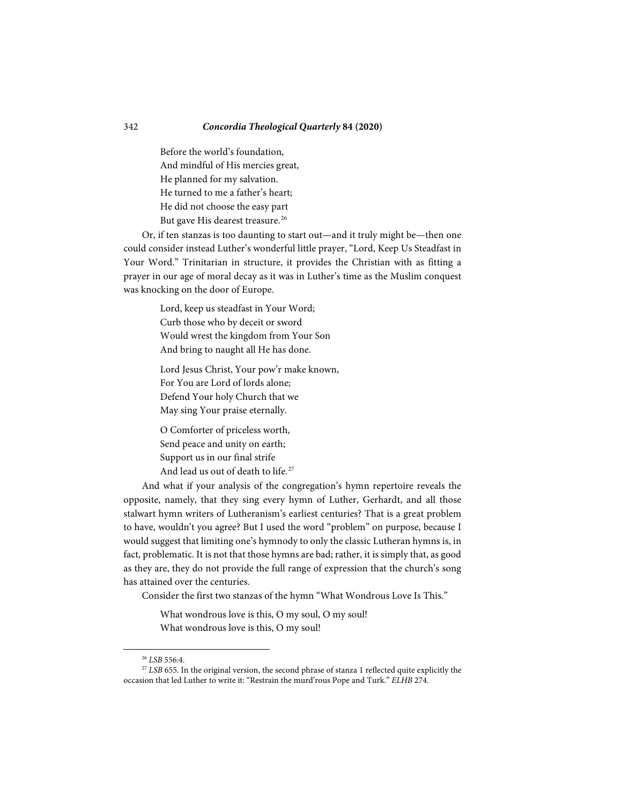Before the world's foundation, And mindful of His mercies great, He planned for my salvation. He turned to me a father's heart; He did not choose the easy part But gave His dearest treasure.<sup>[26](#page-15-0)</sup>

Or, if ten stanzas is too daunting to start out—and it truly might be—then one could consider instead Luther's wonderful little prayer, "Lord, Keep Us Steadfast in Your Word." Trinitarian in structure, it provides the Christian with as fitting a prayer in our age of moral decay as it was in Luther's time as the Muslim conquest was knocking on the door of Europe.

> Lord, keep us steadfast in Your Word; Curb those who by deceit or sword Would wrest the kingdom from Your Son And bring to naught all He has done.

Lord Jesus Christ, Your pow'r make known, For You are Lord of lords alone; Defend Your holy Church that we May sing Your praise eternally.

O Comforter of priceless worth, Send peace and unity on earth; Support us in our final strife And lead us out of death to life.<sup>[27](#page-15-1)</sup>

And what if your analysis of the congregation's hymn repertoire reveals the opposite, namely, that they sing every hymn of Luther, Gerhardt, and all those stalwart hymn writers of Lutheranism's earliest centuries? That is a great problem to have, wouldn't you agree? But I used the word "problem" on purpose, because I would suggest that limiting one's hymnody to only the classic Lutheran hymns is, in fact, problematic. It is not that those hymns are bad; rather, it is simply that, as good as they are, they do not provide the full range of expression that the church's song has attained over the centuries.

Consider the first two stanzas of the hymn "What Wondrous Love Is This."

What wondrous love is this, O my soul, O my soul! What wondrous love is this, O my soul!

<sup>26</sup> *LSB* 556:4.

<span id="page-15-1"></span><span id="page-15-0"></span><sup>&</sup>lt;sup>27</sup> *LSB* 655. In the original version, the second phrase of stanza 1 reflected quite explicitly the occasion that led Luther to write it: "Restrain the murd'rous Pope and Turk." *ELHB* 274.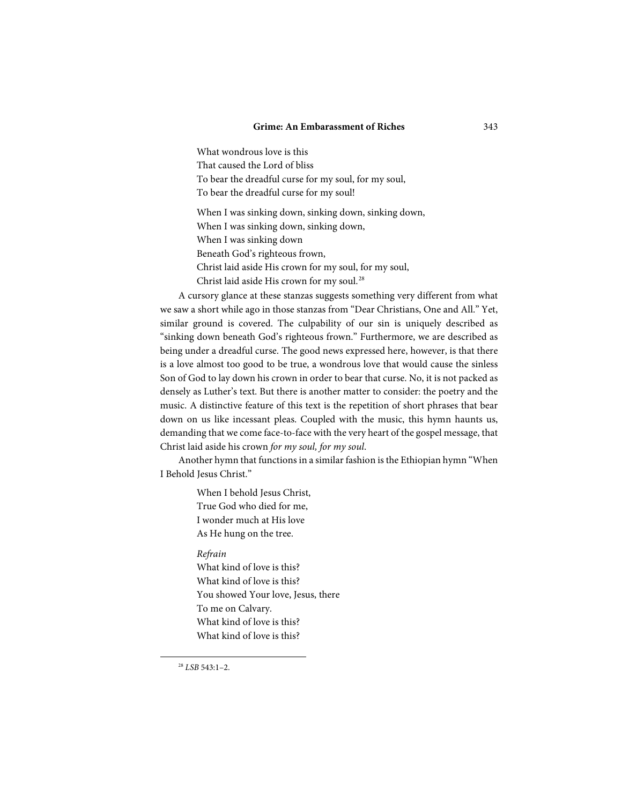#### **Grime: An Embarassment of Riches** 343

What wondrous love is this That caused the Lord of bliss To bear the dreadful curse for my soul, for my soul, To bear the dreadful curse for my soul! When I was sinking down, sinking down, sinking down, When I was sinking down, sinking down, When I was sinking down Beneath God's righteous frown, Christ laid aside His crown for my soul, for my soul, Christ laid aside His crown for my soul.<sup>[28](#page-16-0)</sup>

A cursory glance at these stanzas suggests something very different from what we saw a short while ago in those stanzas from "Dear Christians, One and All." Yet, similar ground is covered. The culpability of our sin is uniquely described as "sinking down beneath God's righteous frown." Furthermore, we are described as being under a dreadful curse. The good news expressed here, however, is that there is a love almost too good to be true, a wondrous love that would cause the sinless Son of God to lay down his crown in order to bear that curse. No, it is not packed as densely as Luther's text. But there is another matter to consider: the poetry and the music. A distinctive feature of this text is the repetition of short phrases that bear down on us like incessant pleas. Coupled with the music, this hymn haunts us, demanding that we come face-to-face with the very heart of the gospel message, that Christ laid aside his crown *for my soul, for my soul*.

Another hymn that functions in a similar fashion is the Ethiopian hymn "When I Behold Jesus Christ."

> When I behold Jesus Christ, True God who died for me, I wonder much at His love As He hung on the tree.

*Refrain*

What kind of love is this? What kind of love is this? You showed Your love, Jesus, there To me on Calvary. What kind of love is this? What kind of love is this?

<span id="page-16-0"></span><sup>28</sup> *LSB* 543:1–2.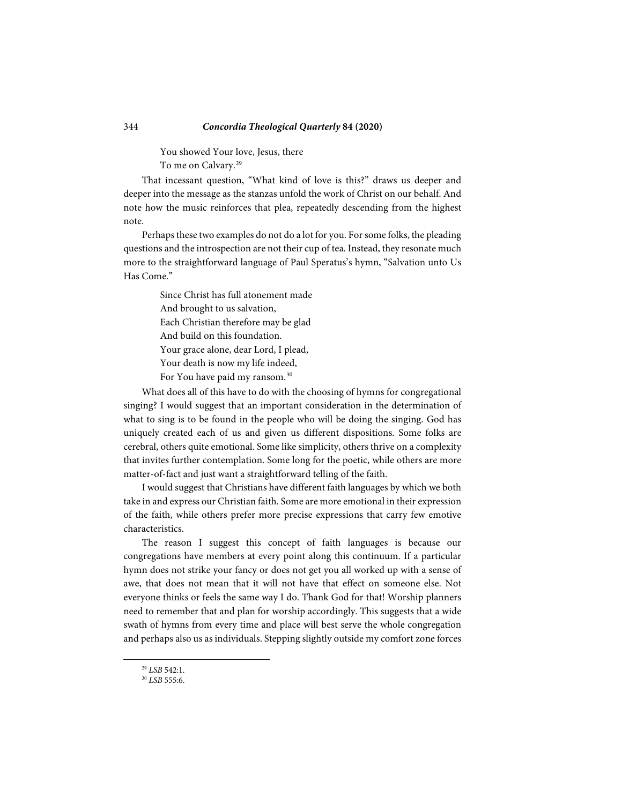You showed Your love, Jesus, there To me on Calvary.<sup>[29](#page-17-0)</sup>

That incessant question, "What kind of love is this?" draws us deeper and deeper into the message as the stanzas unfold the work of Christ on our behalf. And note how the music reinforces that plea, repeatedly descending from the highest note.

Perhaps these two examples do not do a lot for you. For some folks, the pleading questions and the introspection are not their cup of tea. Instead, they resonate much more to the straightforward language of Paul Speratus's hymn, "Salvation unto Us Has Come."

> Since Christ has full atonement made And brought to us salvation, Each Christian therefore may be glad And build on this foundation. Your grace alone, dear Lord, I plead, Your death is now my life indeed, For You have paid my ransom.<sup>[30](#page-17-1)</sup>

What does all of this have to do with the choosing of hymns for congregational singing? I would suggest that an important consideration in the determination of what to sing is to be found in the people who will be doing the singing. God has uniquely created each of us and given us different dispositions. Some folks are cerebral, others quite emotional. Some like simplicity, others thrive on a complexity that invites further contemplation. Some long for the poetic, while others are more matter-of-fact and just want a straightforward telling of the faith.

I would suggest that Christians have different faith languages by which we both take in and express our Christian faith. Some are more emotional in their expression of the faith, while others prefer more precise expressions that carry few emotive characteristics.

The reason I suggest this concept of faith languages is because our congregations have members at every point along this continuum. If a particular hymn does not strike your fancy or does not get you all worked up with a sense of awe, that does not mean that it will not have that effect on someone else. Not everyone thinks or feels the same way I do. Thank God for that! Worship planners need to remember that and plan for worship accordingly. This suggests that a wide swath of hymns from every time and place will best serve the whole congregation and perhaps also us as individuals. Stepping slightly outside my comfort zone forces

<span id="page-17-0"></span><sup>29</sup> *LSB* 542:1.

<span id="page-17-1"></span><sup>30</sup> *LSB* 555:6.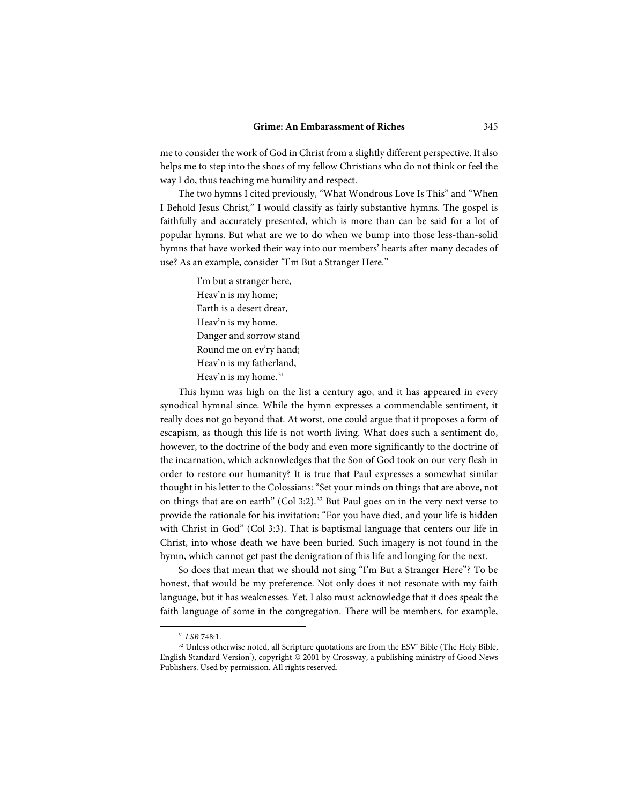me to consider the work of God in Christ from a slightly different perspective. It also helps me to step into the shoes of my fellow Christians who do not think or feel the way I do, thus teaching me humility and respect.

The two hymns I cited previously, "What Wondrous Love Is This" and "When I Behold Jesus Christ," I would classify as fairly substantive hymns. The gospel is faithfully and accurately presented, which is more than can be said for a lot of popular hymns. But what are we to do when we bump into those less-than-solid hymns that have worked their way into our members' hearts after many decades of use? As an example, consider "I'm But a Stranger Here."

> I'm but a stranger here, Heav'n is my home; Earth is a desert drear, Heav'n is my home. Danger and sorrow stand Round me on ev'ry hand; Heav'n is my fatherland, Heav'n is my home.<sup>[31](#page-18-0)</sup>

This hymn was high on the list a century ago, and it has appeared in every synodical hymnal since. While the hymn expresses a commendable sentiment, it really does not go beyond that. At worst, one could argue that it proposes a form of escapism, as though this life is not worth living. What does such a sentiment do, however, to the doctrine of the body and even more significantly to the doctrine of the incarnation, which acknowledges that the Son of God took on our very flesh in order to restore our humanity? It is true that Paul expresses a somewhat similar thought in his letter to the Colossians: "Set your minds on things that are above, not on things that are on earth" (Col 3:2).[32](#page-18-1) But Paul goes on in the very next verse to provide the rationale for his invitation: "For you have died, and your life is hidden with Christ in God" (Col 3:3). That is baptismal language that centers our life in Christ, into whose death we have been buried. Such imagery is not found in the hymn, which cannot get past the denigration of this life and longing for the next.

So does that mean that we should not sing "I'm But a Stranger Here"? To be honest, that would be my preference. Not only does it not resonate with my faith language, but it has weaknesses. Yet, I also must acknowledge that it does speak the faith language of some in the congregation. There will be members, for example,

<sup>31</sup> *LSB* 748:1.

<span id="page-18-1"></span><span id="page-18-0"></span><sup>&</sup>lt;sup>32</sup> Unless otherwise noted, all Scripture quotations are from the ESV<sup>®</sup> Bible (The Holy Bible, English Standard Version'), copyright © 2001 by Crossway, a publishing ministry of Good News Publishers. Used by permission. All rights reserved.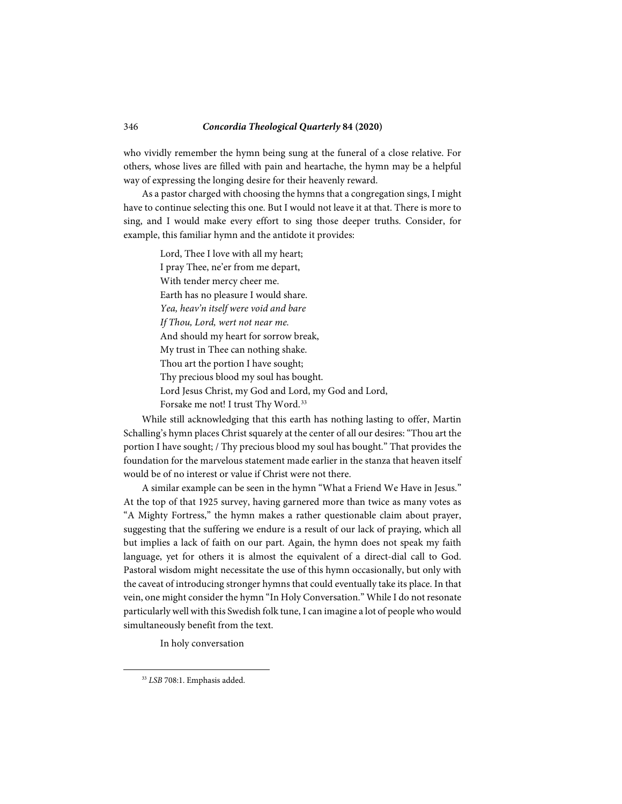who vividly remember the hymn being sung at the funeral of a close relative. For others, whose lives are filled with pain and heartache, the hymn may be a helpful way of expressing the longing desire for their heavenly reward.

As a pastor charged with choosing the hymns that a congregation sings, I might have to continue selecting this one. But I would not leave it at that. There is more to sing, and I would make every effort to sing those deeper truths. Consider, for example, this familiar hymn and the antidote it provides:

> Lord, Thee I love with all my heart; I pray Thee, ne'er from me depart, With tender mercy cheer me. Earth has no pleasure I would share. *Yea, heav'n itself were void and bare If Thou, Lord, wert not near me.* And should my heart for sorrow break, My trust in Thee can nothing shake. Thou art the portion I have sought; Thy precious blood my soul has bought. Lord Jesus Christ, my God and Lord, my God and Lord, Forsake me not! I trust Thy Word.<sup>[33](#page-19-0)</sup>

While still acknowledging that this earth has nothing lasting to offer, Martin Schalling's hymn places Christ squarely at the center of all our desires: "Thou art the portion I have sought; / Thy precious blood my soul has bought." That provides the foundation for the marvelous statement made earlier in the stanza that heaven itself would be of no interest or value if Christ were not there.

A similar example can be seen in the hymn "What a Friend We Have in Jesus." At the top of that 1925 survey, having garnered more than twice as many votes as "A Mighty Fortress," the hymn makes a rather questionable claim about prayer, suggesting that the suffering we endure is a result of our lack of praying, which all but implies a lack of faith on our part. Again, the hymn does not speak my faith language, yet for others it is almost the equivalent of a direct-dial call to God. Pastoral wisdom might necessitate the use of this hymn occasionally, but only with the caveat of introducing stronger hymns that could eventually take its place. In that vein, one might consider the hymn "In Holy Conversation." While I do not resonate particularly well with this Swedish folk tune, I can imagine a lot of people who would simultaneously benefit from the text.

In holy conversation

<span id="page-19-0"></span><sup>33</sup> *LSB* 708:1. Emphasis added.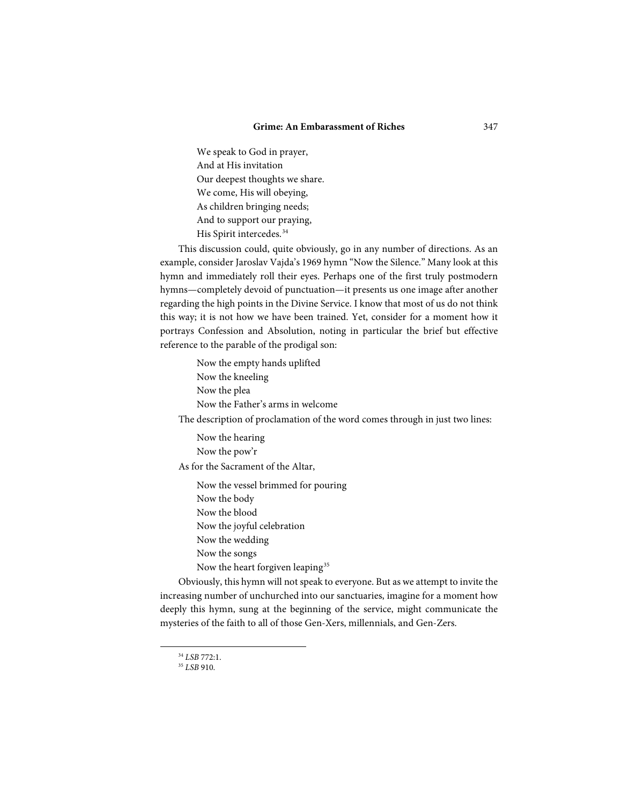#### **Grime: An Embarassment of Riches** 347

We speak to God in prayer, And at His invitation Our deepest thoughts we share. We come, His will obeying, As children bringing needs; And to support our praying, His Spirit intercedes.[34](#page-20-0)

This discussion could, quite obviously, go in any number of directions. As an example, consider Jaroslav Vajda's 1969 hymn "Now the Silence." Many look at this hymn and immediately roll their eyes. Perhaps one of the first truly postmodern hymns—completely devoid of punctuation—it presents us one image after another regarding the high points in the Divine Service. I know that most of us do not think this way; it is not how we have been trained. Yet, consider for a moment how it portrays Confession and Absolution, noting in particular the brief but effective reference to the parable of the prodigal son:

> Now the empty hands uplifted Now the kneeling Now the plea Now the Father's arms in welcome

The description of proclamation of the word comes through in just two lines:

Now the hearing Now the pow'r As for the Sacrament of the Altar,

Now the vessel brimmed for pouring Now the body Now the blood Now the joyful celebration Now the wedding Now the songs Now the heart forgiven leaping<sup>[35](#page-20-1)</sup>

<span id="page-20-0"></span>Obviously, this hymn will not speak to everyone. But as we attempt to invite the increasing number of unchurched into our sanctuaries, imagine for a moment how deeply this hymn, sung at the beginning of the service, might communicate the mysteries of the faith to all of those Gen-Xers, millennials, and Gen-Zers.

<sup>34</sup> *LSB* 772:1.

<span id="page-20-1"></span><sup>35</sup> *LSB* 910.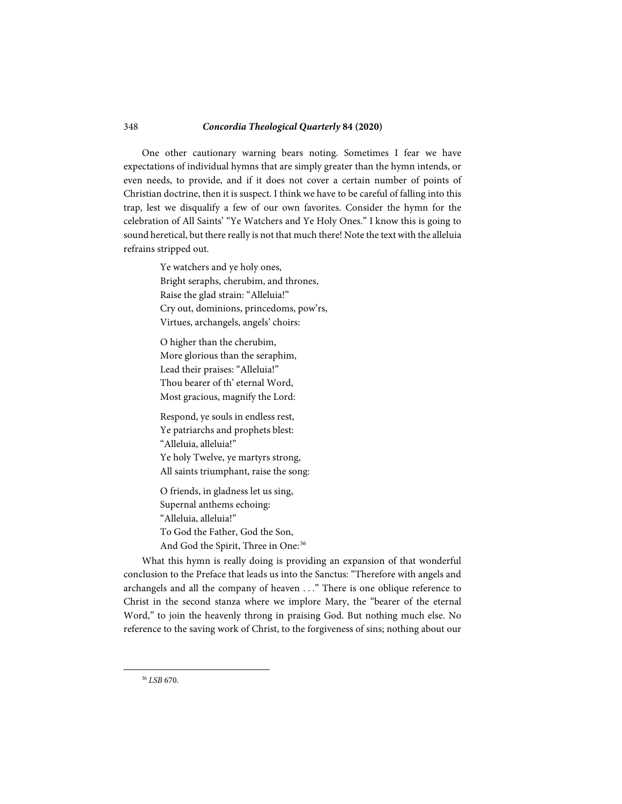One other cautionary warning bears noting. Sometimes I fear we have expectations of individual hymns that are simply greater than the hymn intends, or even needs, to provide, and if it does not cover a certain number of points of Christian doctrine, then it is suspect. I think we have to be careful of falling into this trap, lest we disqualify a few of our own favorites. Consider the hymn for the celebration of All Saints' "Ye Watchers and Ye Holy Ones." I know this is going to sound heretical, but there really is not that much there! Note the text with the alleluia refrains stripped out.

> Ye watchers and ye holy ones, Bright seraphs, cherubim, and thrones, Raise the glad strain: "Alleluia!" Cry out, dominions, princedoms, pow'rs, Virtues, archangels, angels' choirs:

O higher than the cherubim, More glorious than the seraphim, Lead their praises: "Alleluia!" Thou bearer of th' eternal Word, Most gracious, magnify the Lord:

Respond, ye souls in endless rest, Ye patriarchs and prophets blest: "Alleluia, alleluia!" Ye holy Twelve, ye martyrs strong, All saints triumphant, raise the song:

O friends, in gladness let us sing, Supernal anthems echoing: "Alleluia, alleluia!" To God the Father, God the Son, And God the Spirit, Three in One:<sup>[36](#page-21-0)</sup>

<span id="page-21-0"></span>What this hymn is really doing is providing an expansion of that wonderful conclusion to the Preface that leads us into the Sanctus: "Therefore with angels and archangels and all the company of heaven . . ." There is one oblique reference to Christ in the second stanza where we implore Mary, the "bearer of the eternal Word," to join the heavenly throng in praising God. But nothing much else. No reference to the saving work of Christ, to the forgiveness of sins; nothing about our